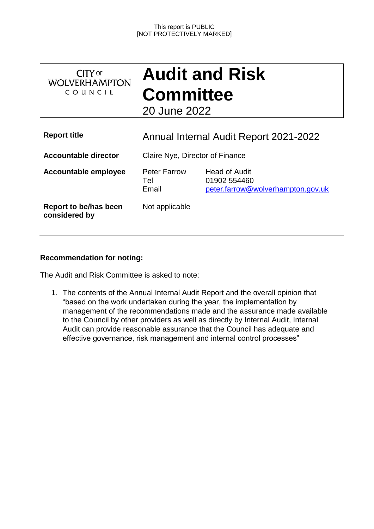| <b>CITY OF</b><br><b>WOLVERHAMPTON</b><br>COUNCIL | <b>Audit and Risk</b><br><b>Committee</b><br>20 June 2022 |                                                                    |  |  |
|---------------------------------------------------|-----------------------------------------------------------|--------------------------------------------------------------------|--|--|
| <b>Report title</b>                               | Annual Internal Audit Report 2021-2022                    |                                                                    |  |  |
| <b>Accountable director</b>                       | Claire Nye, Director of Finance                           |                                                                    |  |  |
| <b>Accountable employee</b>                       | <b>Peter Farrow</b><br>Tel<br>Email                       | Head of Audit<br>01902 554460<br>peter.farrow@wolverhampton.gov.uk |  |  |
| Report to be/has been<br>considered by            | Not applicable                                            |                                                                    |  |  |

## **Recommendation for noting:**

The Audit and Risk Committee is asked to note:

1. The contents of the Annual Internal Audit Report and the overall opinion that "based on the work undertaken during the year, the implementation by management of the recommendations made and the assurance made available to the Council by other providers as well as directly by Internal Audit, Internal Audit can provide reasonable assurance that the Council has adequate and effective governance, risk management and internal control processes"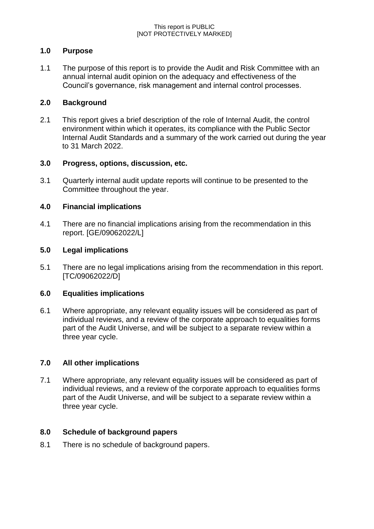## **1.0 Purpose**

1.1 The purpose of this report is to provide the Audit and Risk Committee with an annual internal audit opinion on the adequacy and effectiveness of the Council's governance, risk management and internal control processes.

## **2.0 Background**

2.1 This report gives a brief description of the role of Internal Audit, the control environment within which it operates, its compliance with the Public Sector Internal Audit Standards and a summary of the work carried out during the year to 31 March 2022.

## **3.0 Progress, options, discussion, etc.**

3.1 Quarterly internal audit update reports will continue to be presented to the Committee throughout the year.

## **4.0 Financial implications**

4.1 There are no financial implications arising from the recommendation in this report. [GE/09062022/L]

## **5.0 Legal implications**

5.1 There are no legal implications arising from the recommendation in this report. [TC/09062022/D]

## **6.0 Equalities implications**

6.1 Where appropriate, any relevant equality issues will be considered as part of individual reviews, and a review of the corporate approach to equalities forms part of the Audit Universe, and will be subject to a separate review within a three year cycle.

## **7.0 All other implications**

7.1 Where appropriate, any relevant equality issues will be considered as part of individual reviews, and a review of the corporate approach to equalities forms part of the Audit Universe, and will be subject to a separate review within a three year cycle.

## **8.0 Schedule of background papers**

8.1 There is no schedule of background papers.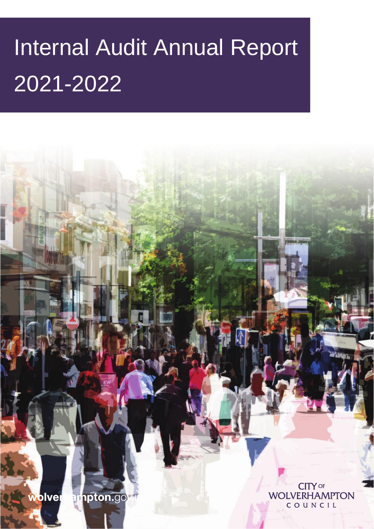# Internal Audit Annual Report 2021-2022

**CITY OF** wolver ampton.gov **WOLVERHAMPTON** COUNCIL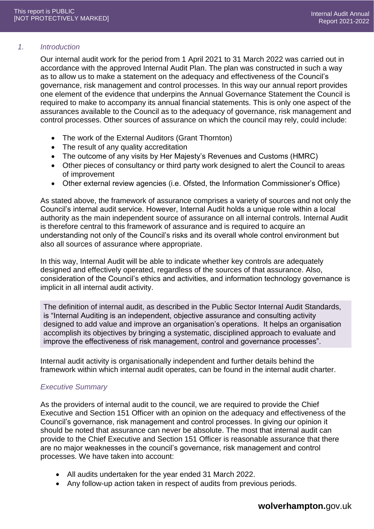#### *1. Introduction*

Our internal audit work for the period from 1 April 2021 to 31 March 2022 was carried out in accordance with the approved Internal Audit Plan. The plan was constructed in such a way as to allow us to make a statement on the adequacy and effectiveness of the Council's governance, risk management and control processes. In this way our annual report provides one element of the evidence that underpins the Annual Governance Statement the Council is required to make to accompany its annual financial statements. This is only one aspect of the assurances available to the Council as to the adequacy of governance, risk management and control processes. Other sources of assurance on which the council may rely, could include:

- The work of the External Auditors (Grant Thornton)
- The result of any quality accreditation
- The outcome of any visits by Her Majesty's Revenues and Customs (HMRC)
- Other pieces of consultancy or third party work designed to alert the Council to areas of improvement
- Other external review agencies (i.e. Ofsted, the Information Commissioner's Office)

As stated above, the framework of assurance comprises a variety of sources and not only the Council's internal audit service. However, Internal Audit holds a unique role within a local authority as the main independent source of assurance on all internal controls. Internal Audit is therefore central to this framework of assurance and is required to acquire an understanding not only of the Council's risks and its overall whole control environment but also all sources of assurance where appropriate.

In this way, Internal Audit will be able to indicate whether key controls are adequately designed and effectively operated, regardless of the sources of that assurance. Also, consideration of the Council's ethics and activities, and information technology governance is implicit in all internal audit activity.

The definition of internal audit, as described in the Public Sector Internal Audit Standards, is "Internal Auditing is an independent, objective assurance and consulting activity designed to add value and improve an organisation's operations. It helps an organisation accomplish its objectives by bringing a systematic, disciplined approach to evaluate and improve the effectiveness of risk management, control and governance processes".

Internal audit activity is organisationally independent and further details behind the framework within which internal audit operates, can be found in the internal audit charter.

## *Executive Summary*

As the providers of internal audit to the council, we are required to provide the Chief Executive and Section 151 Officer with an opinion on the adequacy and effectiveness of the Council's governance, risk management and control processes. In giving our opinion it should be noted that assurance can never be absolute. The most that internal audit can provide to the Chief Executive and Section 151 Officer is reasonable assurance that there are no major weaknesses in the council's governance, risk management and control processes. We have taken into account:

- All audits undertaken for the year ended 31 March 2022.
- Any follow-up action taken in respect of audits from previous periods.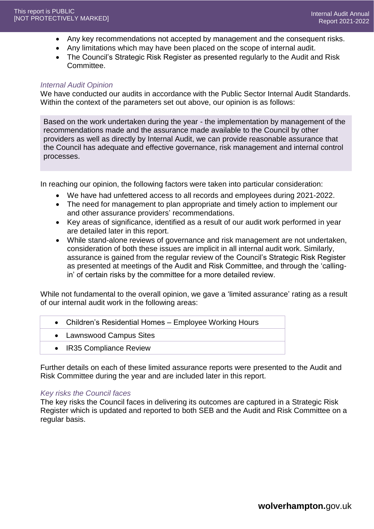- Any key recommendations not accepted by management and the consequent risks.
- Any limitations which may have been placed on the scope of internal audit.
- The Council's Strategic Risk Register as presented regularly to the Audit and Risk Committee.

#### *Internal Audit Opinion*

We have conducted our audits in accordance with the Public Sector Internal Audit Standards. Within the context of the parameters set out above, our opinion is as follows:

Based on the work undertaken during the year - the implementation by management of the recommendations made and the assurance made available to the Council by other providers as well as directly by Internal Audit, we can provide reasonable assurance that the Council has adequate and effective governance, risk management and internal control processes.

In reaching our opinion, the following factors were taken into particular consideration:

- We have had unfettered access to all records and employees during 2021-2022.
- The need for management to plan appropriate and timely action to implement our and other assurance providers' recommendations.
- Key areas of significance, identified as a result of our audit work performed in year are detailed later in this report.
- While stand-alone reviews of governance and risk management are not undertaken, consideration of both these issues are implicit in all internal audit work. Similarly, assurance is gained from the regular review of the Council's Strategic Risk Register as presented at meetings of the Audit and Risk Committee, and through the 'callingin' of certain risks by the committee for a more detailed review.

While not fundamental to the overall opinion, we gave a 'limited assurance' rating as a result of our internal audit work in the following areas:

| • Children's Residential Homes - Employee Working Hours |
|---------------------------------------------------------|
| • Lawnswood Campus Sites                                |

• IR35 Compliance Review

Further details on each of these limited assurance reports were presented to the Audit and Risk Committee during the year and are included later in this report.

## *Key risks the Council faces*

The key risks the Council faces in delivering its outcomes are captured in a Strategic Risk Register which is updated and reported to both SEB and the Audit and Risk Committee on a regular basis.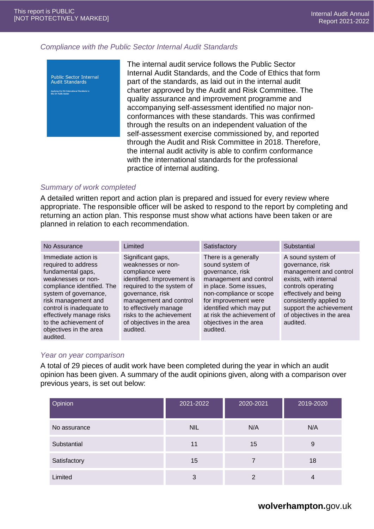#### *Compliance with the Public Sector Internal Audit Standards*



The internal audit service follows the Public Sector Internal Audit Standards, and the Code of Ethics that form part of the standards, as laid out in the internal audit charter approved by the Audit and Risk Committee. The quality assurance and improvement programme and accompanying self-assessment identified no major nonconformances with these standards. This was confirmed through the results on an independent valuation of the self-assessment exercise commissioned by, and reported through the Audit and Risk Committee in 2018. Therefore, the internal audit activity is able to confirm conformance with the international standards for the professional practice of internal auditing.

#### *Summary of work completed*

A detailed written report and action plan is prepared and issued for every review where appropriate. The responsible officer will be asked to respond to the report by completing and returning an action plan. This response must show what actions have been taken or are planned in relation to each recommendation.

| No Assurance                                                                                                                                                                                                                                                                               | Limited                                                                                                                                                                                                                                                           | Satisfactory                                                                                                                                                                                                                                                       | Substantial                                                                                                                                                                                                                            |
|--------------------------------------------------------------------------------------------------------------------------------------------------------------------------------------------------------------------------------------------------------------------------------------------|-------------------------------------------------------------------------------------------------------------------------------------------------------------------------------------------------------------------------------------------------------------------|--------------------------------------------------------------------------------------------------------------------------------------------------------------------------------------------------------------------------------------------------------------------|----------------------------------------------------------------------------------------------------------------------------------------------------------------------------------------------------------------------------------------|
| Immediate action is<br>required to address<br>fundamental gaps,<br>weaknesses or non-<br>compliance identified. The<br>system of governance,<br>risk management and<br>control is inadequate to<br>effectively manage risks<br>to the achievement of<br>objectives in the area<br>audited. | Significant gaps,<br>weaknesses or non-<br>compliance were<br>identified. Improvement is<br>required to the system of<br>governance, risk<br>management and control<br>to effectively manage<br>risks to the achievement<br>of objectives in the area<br>audited. | There is a generally<br>sound system of<br>governance, risk<br>management and control<br>in place. Some issues,<br>non-compliance or scope<br>for improvement were<br>identified which may put<br>at risk the achievement of<br>objectives in the area<br>audited. | A sound system of<br>governance, risk<br>management and control<br>exists, with internal<br>controls operating<br>effectively and being<br>consistently applied to<br>support the achievement<br>of objectives in the area<br>audited. |

#### *Year on year comparison*

A total of 29 pieces of audit work have been completed during the year in which an audit opinion has been given. A summary of the audit opinions given, along with a comparison over previous years, is set out below:

| Opinion      | 2021-2022  | 2020-2021 | 2019-2020 |
|--------------|------------|-----------|-----------|
| No assurance | <b>NIL</b> | N/A       | N/A       |
| Substantial  | 11         | 15        | 9         |
| Satisfactory | 15         |           | 18        |
| Limited      | 3          |           | 4         |

## **wolverhampton.**gov.uk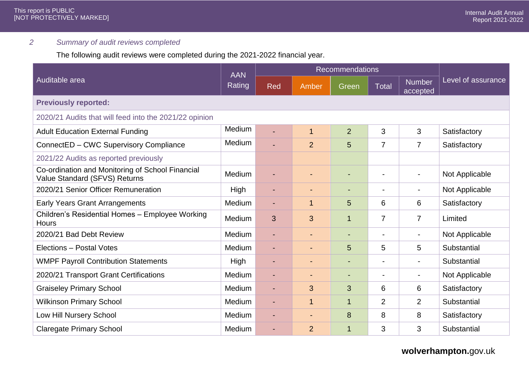## *2 Summary of audit reviews completed*

The following audit reviews were completed during the 2021-2022 financial year.

|                                                                                   |                             |                          | <b>Recommendations</b>   |                          |                          |                           |                    |
|-----------------------------------------------------------------------------------|-----------------------------|--------------------------|--------------------------|--------------------------|--------------------------|---------------------------|--------------------|
| Auditable area                                                                    | <b>AAN</b><br><b>Rating</b> | Red                      | Amber                    | Green                    | <b>Total</b>             | <b>Number</b><br>accepted | Level of assurance |
| <b>Previously reported:</b>                                                       |                             |                          |                          |                          |                          |                           |                    |
| 2020/21 Audits that will feed into the 2021/22 opinion                            |                             |                          |                          |                          |                          |                           |                    |
| <b>Adult Education External Funding</b>                                           | Medium                      |                          | $\mathbf{1}$             | $\overline{2}$           | 3                        | 3                         | Satisfactory       |
| ConnectED - CWC Supervisory Compliance                                            | Medium                      |                          | $\overline{2}$           | 5                        | 7                        | $\overline{7}$            | Satisfactory       |
| 2021/22 Audits as reported previously                                             |                             |                          |                          |                          |                          |                           |                    |
| Co-ordination and Monitoring of School Financial<br>Value Standard (SFVS) Returns | Medium                      |                          | $\overline{a}$           | $\overline{\phantom{0}}$ | $\overline{\phantom{a}}$ | $\overline{\phantom{a}}$  | Not Applicable     |
| 2020/21 Senior Officer Remuneration                                               | High                        | $\blacksquare$           | $\overline{\phantom{a}}$ | $\overline{\phantom{0}}$ | $\blacksquare$           | $\overline{\phantom{a}}$  | Not Applicable     |
| <b>Early Years Grant Arrangements</b>                                             | Medium                      | $\blacksquare$           | $\mathbf 1$              | 5                        | 6                        | 6                         | Satisfactory       |
| Children's Residential Homes - Employee Working<br><b>Hours</b>                   | Medium                      | 3                        | 3                        | $\mathbf 1$              | 7                        | $\overline{7}$            | Limited            |
| 2020/21 Bad Debt Review                                                           | Medium                      | $\blacksquare$           | $\overline{\phantom{a}}$ | $\blacksquare$           | $\overline{\phantom{a}}$ | $\overline{\phantom{a}}$  | Not Applicable     |
| Elections - Postal Votes                                                          | <b>Medium</b>               | $\blacksquare$           | $\blacksquare$           | 5                        | 5                        | 5                         | Substantial        |
| <b>WMPF Payroll Contribution Statements</b>                                       | High                        | $\blacksquare$           | ٠                        | $\overline{\phantom{0}}$ | $\blacksquare$           | $\blacksquare$            | Substantial        |
| 2020/21 Transport Grant Certifications                                            | Medium                      |                          |                          |                          | $\blacksquare$           | $\blacksquare$            | Not Applicable     |
| <b>Graiseley Primary School</b>                                                   | Medium                      | $\overline{\phantom{a}}$ | 3                        | 3                        | 6                        | 6                         | Satisfactory       |
| <b>Wilkinson Primary School</b>                                                   | Medium                      | $\blacksquare$           | $\mathbf{1}$             | $\overline{1}$           | $\overline{2}$           | $\overline{2}$            | Substantial        |
| Low Hill Nursery School                                                           | Medium                      | $\blacksquare$           |                          | 8                        | 8                        | 8                         | Satisfactory       |
| <b>Claregate Primary School</b>                                                   | Medium                      |                          | $\overline{2}$           | $\mathbf{1}$             | 3                        | 3                         | Substantial        |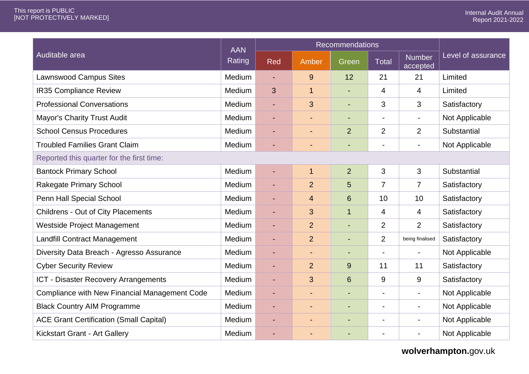|                                                |                      | Recommendations |                |                          |                |                           |                    |
|------------------------------------------------|----------------------|-----------------|----------------|--------------------------|----------------|---------------------------|--------------------|
| Auditable area                                 | <b>AAN</b><br>Rating | <b>Red</b>      | Amber          | Green                    | <b>Total</b>   | <b>Number</b><br>accepted | Level of assurance |
| <b>Lawnswood Campus Sites</b>                  | Medium               | ÷.              | 9              | 12 <sup>2</sup>          | 21             | 21                        | Limited            |
| <b>IR35 Compliance Review</b>                  | Medium               | 3               | $\mathbf{1}$   | L,                       | 4              | 4                         | Limited            |
| <b>Professional Conversations</b>              | Medium               | ÷,              | 3              | $\blacksquare$           | 3              | 3                         | Satisfactory       |
| <b>Mayor's Charity Trust Audit</b>             | Medium               | L,              | $\blacksquare$ | ٠                        | $\blacksquare$ | $\blacksquare$            | Not Applicable     |
| <b>School Census Procedures</b>                | Medium               | ٠               | $\blacksquare$ | $\overline{2}$           | $\overline{2}$ | $\overline{2}$            | Substantial        |
| <b>Troubled Families Grant Claim</b>           | Medium               | ٠               | ٠              | $\overline{\phantom{0}}$ | $\blacksquare$ | $\overline{\phantom{a}}$  | Not Applicable     |
| Reported this quarter for the first time:      |                      |                 |                |                          |                |                           |                    |
| <b>Bantock Primary School</b>                  | Medium               | ٠               | $\mathbf{1}$   | $\overline{2}$           | 3              | 3                         | Substantial        |
| <b>Rakegate Primary School</b>                 | Medium               | $\blacksquare$  | $\overline{2}$ | 5                        | $\overline{7}$ | $\overline{7}$            | Satisfactory       |
| Penn Hall Special School                       | Medium               | ä,              | 4              | $6\phantom{1}$           | 10             | 10                        | Satisfactory       |
| <b>Childrens - Out of City Placements</b>      | Medium               | ٠               | 3              | $\mathbf{1}$             | $\overline{4}$ | 4                         | Satisfactory       |
| Westside Project Management                    | Medium               | $\blacksquare$  | $\overline{2}$ | ÷,                       | $\overline{2}$ | $\overline{2}$            | Satisfactory       |
| <b>Landfill Contract Management</b>            | Medium               | ä,              | $\overline{2}$ | ÷                        | $\overline{2}$ | being finalised           | Satisfactory       |
| Diversity Data Breach - Agresso Assurance      | Medium               | ٠               |                | ٠                        | $\blacksquare$ | $\overline{\phantom{a}}$  | Not Applicable     |
| <b>Cyber Security Review</b>                   | Medium               | $\blacksquare$  | $\overline{2}$ | 9                        | 11             | 11                        | Satisfactory       |
| ICT - Disaster Recovery Arrangements           | Medium               | ä,              | 3              | $6\phantom{1}$           | 9              | 9                         | Satisfactory       |
| Compliance with New Financial Management Code  | Medium               | ٠               | $\blacksquare$ | $\blacksquare$           | $\blacksquare$ | $\blacksquare$            | Not Applicable     |
| <b>Black Country AIM Programme</b>             | Medium               | ٠               | $\blacksquare$ | ٠                        | $\blacksquare$ | $\overline{\phantom{a}}$  | Not Applicable     |
| <b>ACE Grant Certification (Small Capital)</b> | Medium               | ٠               | $\blacksquare$ | ٠                        | $\blacksquare$ | $\overline{\phantom{a}}$  | Not Applicable     |
| <b>Kickstart Grant - Art Gallery</b>           | Medium               |                 |                | $\blacksquare$           |                | $\overline{\phantom{0}}$  | Not Applicable     |

**wolverhampton.**gov.uk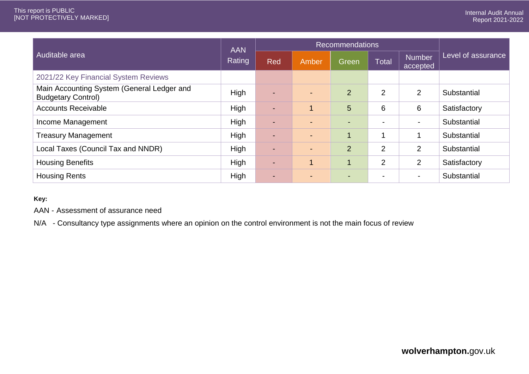|                                                                         | <b>AAN</b>  | <b>Recommendations</b>   |                |                |                          |                           |                    |
|-------------------------------------------------------------------------|-------------|--------------------------|----------------|----------------|--------------------------|---------------------------|--------------------|
| Auditable area<br><b>Rating</b>                                         |             | Red                      | Amber          | Green          | <b>Total</b>             | <b>Number</b><br>accepted | Level of assurance |
| 2021/22 Key Financial System Reviews                                    |             |                          |                |                |                          |                           |                    |
| Main Accounting System (General Ledger and<br><b>Budgetary Control)</b> | High        | $\overline{\phantom{a}}$ | ÷              | $\overline{2}$ | $\overline{2}$           | $\overline{2}$            | Substantial        |
| <b>Accounts Receivable</b>                                              | High        | $\blacksquare$           |                | 5              | 6                        | 6                         | Satisfactory       |
| Income Management                                                       | High        | $\blacksquare$           | $\blacksquare$ | $\blacksquare$ | $\overline{a}$           | $\overline{\phantom{0}}$  | Substantial        |
| <b>Treasury Management</b>                                              | High        | $\overline{\phantom{a}}$ | $\blacksquare$ |                | И                        |                           | Substantial        |
| Local Taxes (Council Tax and NNDR)                                      | <b>High</b> | $\blacksquare$           | $\blacksquare$ | $\overline{2}$ | $\overline{2}$           | $\overline{2}$            | Substantial        |
| <b>Housing Benefits</b>                                                 | High        | $\overline{\phantom{a}}$ |                |                | $\overline{2}$           | $\overline{2}$            | Satisfactory       |
| <b>Housing Rents</b>                                                    | High        | $\blacksquare$           | $\blacksquare$ | $\blacksquare$ | $\overline{\phantom{a}}$ | $\blacksquare$            | Substantial        |

#### **Key:**

AAN - Assessment of assurance need

N/A - Consultancy type assignments where an opinion on the control environment is not the main focus of review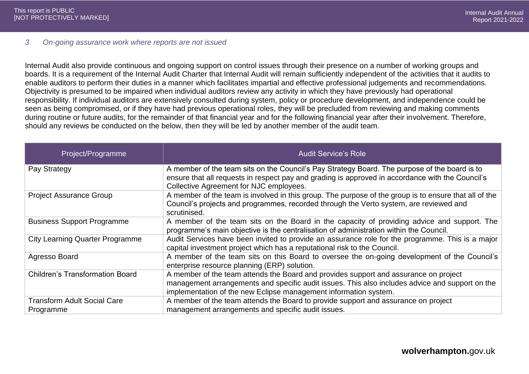#### *3 On-going assurance work where reports are not issued*

Internal Audit also provide continuous and ongoing support on control issues through their presence on a number of working groups and boards. It is a requirement of the Internal Audit Charter that Internal Audit will remain sufficiently independent of the activities that it audits to enable auditors to perform their duties in a manner which facilitates impartial and effective professional judgements and recommendations. Objectivity is presumed to be impaired when individual auditors review any activity in which they have previously had operational responsibility. If individual auditors are extensively consulted during system, policy or procedure development, and independence could be seen as being compromised, or if they have had previous operational roles, they will be precluded from reviewing and making comments during routine or future audits, for the remainder of that financial year and for the following financial year after their involvement. Therefore, should any reviews be conducted on the below, then they will be led by another member of the audit team.

| Project/Programme                               | <b>Audit Service's Role</b>                                                                                                                                                                                                                                 |
|-------------------------------------------------|-------------------------------------------------------------------------------------------------------------------------------------------------------------------------------------------------------------------------------------------------------------|
| Pay Strategy                                    | A member of the team sits on the Council's Pay Strategy Board. The purpose of the board is to<br>ensure that all requests in respect pay and grading is approved in accordance with the Council's<br>Collective Agreement for NJC employees.                |
| <b>Project Assurance Group</b>                  | A member of the team is involved in this group. The purpose of the group is to ensure that all of the<br>Council's projects and programmes, recorded through the Verto system, are reviewed and<br>scrutinised.                                             |
| <b>Business Support Programme</b>               | A member of the team sits on the Board in the capacity of providing advice and support. The<br>programme's main objective is the centralisation of administration within the Council.                                                                       |
| <b>City Learning Quarter Programme</b>          | Audit Services have been invited to provide an assurance role for the programme. This is a major<br>capital investment project which has a reputational risk to the Council.                                                                                |
| Agresso Board                                   | A member of the team sits on this Board to oversee the on-going development of the Council's<br>enterprise resource planning (ERP) solution.                                                                                                                |
| <b>Children's Transformation Board</b>          | A member of the team attends the Board and provides support and assurance on project<br>management arrangements and specific audit issues. This also includes advice and support on the<br>implementation of the new Eclipse management information system. |
| <b>Transform Adult Social Care</b><br>Programme | A member of the team attends the Board to provide support and assurance on project<br>management arrangements and specific audit issues.                                                                                                                    |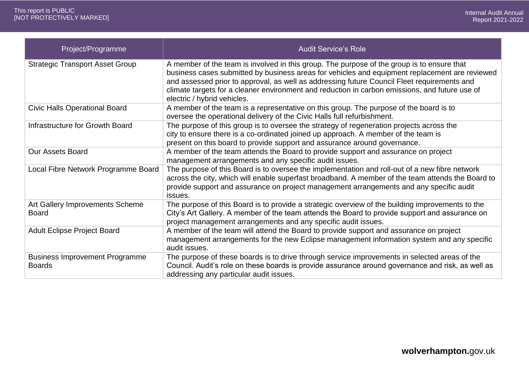| Project/Programme                                      | <b>Audit Service's Role</b>                                                                                                                                                                                                                                                                                                                                                                                                  |
|--------------------------------------------------------|------------------------------------------------------------------------------------------------------------------------------------------------------------------------------------------------------------------------------------------------------------------------------------------------------------------------------------------------------------------------------------------------------------------------------|
| <b>Strategic Transport Asset Group</b>                 | A member of the team is involved in this group. The purpose of the group is to ensure that<br>business cases submitted by business areas for vehicles and equipment replacement are reviewed<br>and assessed prior to approval, as well as addressing future Council Fleet requirements and<br>climate targets for a cleaner environment and reduction in carbon emissions, and future use of<br>electric / hybrid vehicles. |
| <b>Civic Halls Operational Board</b>                   | A member of the team is a representative on this group. The purpose of the board is to<br>oversee the operational delivery of the Civic Halls full refurbishment.                                                                                                                                                                                                                                                            |
| Infrastructure for Growth Board                        | The purpose of this group is to oversee the strategy of regeneration projects across the<br>city to ensure there is a co-ordinated joined up approach. A member of the team is<br>present on this board to provide support and assurance around governance.                                                                                                                                                                  |
| <b>Our Assets Board</b>                                | A member of the team attends the Board to provide support and assurance on project<br>management arrangements and any specific audit issues.                                                                                                                                                                                                                                                                                 |
| Local Fibre Network Programme Board                    | The purpose of this Board is to oversee the implementation and roll-out of a new fibre network<br>across the city, which will enable superfast broadband. A member of the team attends the Board to<br>provide support and assurance on project management arrangements and any specific audit<br>issues.                                                                                                                    |
| Art Gallery Improvements Scheme<br><b>Board</b>        | The purpose of this Board is to provide a strategic overview of the building improvements to the<br>City's Art Gallery. A member of the team attends the Board to provide support and assurance on<br>project management arrangements and any specific audit issues.                                                                                                                                                         |
| <b>Adult Eclipse Project Board</b>                     | A member of the team will attend the Board to provide support and assurance on project<br>management arrangements for the new Eclipse management information system and any specific<br>audit issues.                                                                                                                                                                                                                        |
| <b>Business Improvement Programme</b><br><b>Boards</b> | The purpose of these boards is to drive through service improvements in selected areas of the<br>Council. Audit's role on these boards is provide assurance around governance and risk, as well as<br>addressing any particular audit issues.                                                                                                                                                                                |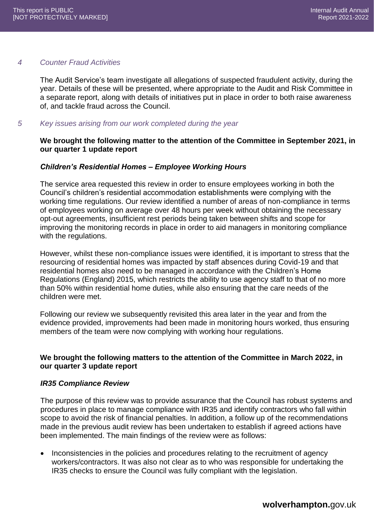#### *4 Counter Fraud Activities*

The Audit Service's team investigate all allegations of suspected fraudulent activity, during the year. Details of these will be presented, where appropriate to the Audit and Risk Committee in a separate report, along with details of initiatives put in place in order to both raise awareness of, and tackle fraud across the Council.

#### *5 Key issues arising from our work completed during the year*

## **We brought the following matter to the attention of the Committee in September 2021, in our quarter 1 update report**

## *Children's Residential Homes – Employee Working Hours*

The service area requested this review in order to ensure employees working in both the Council's children's residential accommodation establishments were complying with the working time regulations. Our review identified a number of areas of non-compliance in terms of employees working on average over 48 hours per week without obtaining the necessary opt-out agreements, insufficient rest periods being taken between shifts and scope for improving the monitoring records in place in order to aid managers in monitoring compliance with the regulations.

However, whilst these non-compliance issues were identified, it is important to stress that the resourcing of residential homes was impacted by staff absences during Covid-19 and that residential homes also need to be managed in accordance with the Children's Home Regulations (England) 2015, which restricts the ability to use agency staff to that of no more than 50% within residential home duties, while also ensuring that the care needs of the children were met.

Following our review we subsequently revisited this area later in the year and from the evidence provided, improvements had been made in monitoring hours worked, thus ensuring members of the team were now complying with working hour regulations.

## **We brought the following matters to the attention of the Committee in March 2022, in our quarter 3 update report**

#### *IR35 Compliance Review*

The purpose of this review was to provide assurance that the Council has robust systems and procedures in place to manage compliance with IR35 and identify contractors who fall within scope to avoid the risk of financial penalties. In addition, a follow up of the recommendations made in the previous audit review has been undertaken to establish if agreed actions have been implemented. The main findings of the review were as follows:

 Inconsistencies in the policies and procedures relating to the recruitment of agency workers/contractors. It was also not clear as to who was responsible for undertaking the IR35 checks to ensure the Council was fully compliant with the legislation.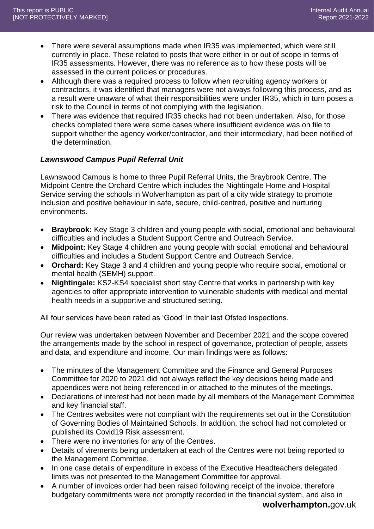- There were several assumptions made when IR35 was implemented, which were still currently in place. These related to posts that were either in or out of scope in terms of IR35 assessments. However, there was no reference as to how these posts will be assessed in the current policies or procedures.
- Although there was a required process to follow when recruiting agency workers or contractors, it was identified that managers were not always following this process, and as a result were unaware of what their responsibilities were under IR35, which in turn poses a risk to the Council in terms of not complying with the legislation.
- There was evidence that required IR35 checks had not been undertaken. Also, for those checks completed there were some cases where insufficient evidence was on file to support whether the agency worker/contractor, and their intermediary, had been notified of the determination.

## *Lawnswood Campus Pupil Referral Unit*

Lawnswood Campus is home to three Pupil Referral Units, the Braybrook Centre, The Midpoint Centre the Orchard Centre which includes the Nightingale Home and Hospital Service serving the schools in Wolverhampton as part of a city wide strategy to promote inclusion and positive behaviour in safe, secure, child-centred, positive and nurturing environments.

- **Braybrook:** Key Stage 3 children and young people with social, emotional and behavioural difficulties and includes a Student Support Centre and Outreach Service.
- **Midpoint:** Key Stage 4 children and young people with social, emotional and behavioural difficulties and includes a Student Support Centre and Outreach Service.
- **Orchard:** Key Stage 3 and 4 children and young people who require social, emotional or mental health (SEMH) support.
- **Nightingale:** KS2-KS4 specialist short stay Centre that works in partnership with key agencies to offer appropriate intervention to vulnerable students with medical and mental health needs in a supportive and structured setting.

All four services have been rated as 'Good' in their last Ofsted inspections.

Our review was undertaken between November and December 2021 and the scope covered the arrangements made by the school in respect of governance, protection of people, assets and data, and expenditure and income. Our main findings were as follows:

- The minutes of the Management Committee and the Finance and General Purposes Committee for 2020 to 2021 did not always reflect the key decisions being made and appendices were not being referenced in or attached to the minutes of the meetings.
- Declarations of interest had not been made by all members of the Management Committee and key financial staff.
- The Centres websites were not compliant with the requirements set out in the Constitution of Governing Bodies of Maintained Schools. In addition, the school had not completed or published its Covid19 Risk assessment.
- There were no inventories for any of the Centres.
- Details of virements being undertaken at each of the Centres were not being reported to the Management Committee.
- In one case details of expenditure in excess of the Executive Headteachers delegated limits was not presented to the Management Committee for approval.
- A number of invoices order had been raised following receipt of the invoice, therefore budgetary commitments were not promptly recorded in the financial system, and also in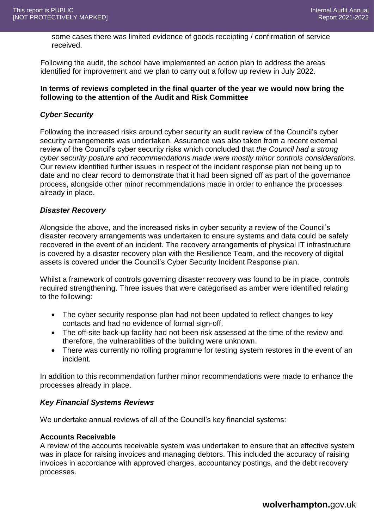some cases there was limited evidence of goods receipting / confirmation of service received.

Following the audit, the school have implemented an action plan to address the areas identified for improvement and we plan to carry out a follow up review in July 2022.

#### **In terms of reviews completed in the final quarter of the year we would now bring the following to the attention of the Audit and Risk Committee**

## *Cyber Security*

Following the increased risks around cyber security an audit review of the Council's cyber security arrangements was undertaken. Assurance was also taken from a recent external review of the Council's cyber security risks which concluded that *the Council had a strong cyber security posture and recommendations made were mostly minor controls considerations.*  Our review identified further issues in respect of the incident response plan not being up to date and no clear record to demonstrate that it had been signed off as part of the governance process, alongside other minor recommendations made in order to enhance the processes already in place.

#### *Disaster Recovery*

Alongside the above, and the increased risks in cyber security a review of the Council's disaster recovery arrangements was undertaken to ensure systems and data could be safely recovered in the event of an incident. The recovery arrangements of physical IT infrastructure is covered by a disaster recovery plan with the Resilience Team, and the recovery of digital assets is covered under the Council's Cyber Security Incident Response plan.

Whilst a framework of controls governing disaster recovery was found to be in place, controls required strengthening. Three issues that were categorised as amber were identified relating to the following:

- The cyber security response plan had not been updated to reflect changes to key contacts and had no evidence of formal sign-off.
- The off-site back-up facility had not been risk assessed at the time of the review and therefore, the vulnerabilities of the building were unknown.
- There was currently no rolling programme for testing system restores in the event of an incident.

In addition to this recommendation further minor recommendations were made to enhance the processes already in place.

## *Key Financial Systems Reviews*

We undertake annual reviews of all of the Council's key financial systems:

#### **Accounts Receivable**

A review of the accounts receivable system was undertaken to ensure that an effective system was in place for raising invoices and managing debtors. This included the accuracy of raising invoices in accordance with approved charges, accountancy postings, and the debt recovery processes.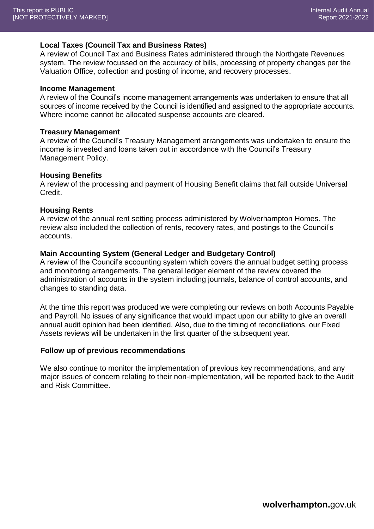#### **Local Taxes (Council Tax and Business Rates)**

A review of Council Tax and Business Rates administered through the Northgate Revenues system. The review focussed on the accuracy of bills, processing of property changes per the Valuation Office, collection and posting of income, and recovery processes.

#### **Income Management**

A review of the Council's income management arrangements was undertaken to ensure that all sources of income received by the Council is identified and assigned to the appropriate accounts. Where income cannot be allocated suspense accounts are cleared.

#### **Treasury Management**

A review of the Council's Treasury Management arrangements was undertaken to ensure the income is invested and loans taken out in accordance with the Council's Treasury Management Policy.

#### **Housing Benefits**

A review of the processing and payment of Housing Benefit claims that fall outside Universal Credit.

#### **Housing Rents**

A review of the annual rent setting process administered by Wolverhampton Homes. The review also included the collection of rents, recovery rates, and postings to the Council's accounts.

#### **Main Accounting System (General Ledger and Budgetary Control)**

A review of the Council's accounting system which covers the annual budget setting process and monitoring arrangements. The general ledger element of the review covered the administration of accounts in the system including journals, balance of control accounts, and changes to standing data.

At the time this report was produced we were completing our reviews on both Accounts Payable and Payroll. No issues of any significance that would impact upon our ability to give an overall annual audit opinion had been identified. Also, due to the timing of reconciliations, our Fixed Assets reviews will be undertaken in the first quarter of the subsequent year.

#### **Follow up of previous recommendations**

We also continue to monitor the implementation of previous key recommendations, and any major issues of concern relating to their non-implementation, will be reported back to the Audit and Risk Committee.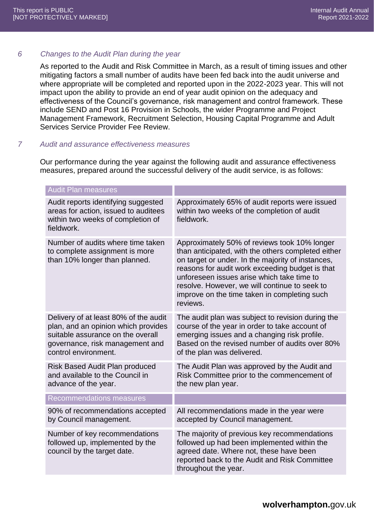## *6 Changes to the Audit Plan during the year*

As reported to the Audit and Risk Committee in March, as a result of timing issues and other mitigating factors a small number of audits have been fed back into the audit universe and where appropriate will be completed and reported upon in the 2022-2023 year. This will not impact upon the ability to provide an end of year audit opinion on the adequacy and effectiveness of the Council's governance, risk management and control framework. These include SEND and Post 16 Provision in Schools, the wider Programme and Project Management Framework, Recruitment Selection, Housing Capital Programme and Adult Services Service Provider Fee Review.

## *7 Audit and assurance effectiveness measures*

Our performance during the year against the following audit and assurance effectiveness measures, prepared around the successful delivery of the audit service, is as follows:

| <b>Audit Plan measures</b>                                                                                                                                                   |                                                                                                                                                                                                                                                                                                                                                                       |
|------------------------------------------------------------------------------------------------------------------------------------------------------------------------------|-----------------------------------------------------------------------------------------------------------------------------------------------------------------------------------------------------------------------------------------------------------------------------------------------------------------------------------------------------------------------|
| Audit reports identifying suggested<br>areas for action, issued to auditees<br>within two weeks of completion of<br>fieldwork.                                               | Approximately 65% of audit reports were issued<br>within two weeks of the completion of audit<br>fieldwork.                                                                                                                                                                                                                                                           |
| Number of audits where time taken<br>to complete assignment is more<br>than 10% longer than planned.                                                                         | Approximately 50% of reviews took 10% longer<br>than anticipated, with the others completed either<br>on target or under. In the majority of instances,<br>reasons for audit work exceeding budget is that<br>unforeseen issues arise which take time to<br>resolve. However, we will continue to seek to<br>improve on the time taken in completing such<br>reviews. |
| Delivery of at least 80% of the audit<br>plan, and an opinion which provides<br>suitable assurance on the overall<br>governance, risk management and<br>control environment. | The audit plan was subject to revision during the<br>course of the year in order to take account of<br>emerging issues and a changing risk profile.<br>Based on the revised number of audits over 80%<br>of the plan was delivered.                                                                                                                                   |
| <b>Risk Based Audit Plan produced</b><br>and available to the Council in<br>advance of the year.                                                                             | The Audit Plan was approved by the Audit and<br>Risk Committee prior to the commencement of<br>the new plan year.                                                                                                                                                                                                                                                     |
| <b>Recommendations measures</b>                                                                                                                                              |                                                                                                                                                                                                                                                                                                                                                                       |
| 90% of recommendations accepted<br>by Council management.                                                                                                                    | All recommendations made in the year were<br>accepted by Council management.                                                                                                                                                                                                                                                                                          |
| Number of key recommendations<br>followed up, implemented by the<br>council by the target date.                                                                              | The majority of previous key recommendations<br>followed up had been implemented within the<br>agreed date. Where not, these have been<br>reported back to the Audit and Risk Committee<br>throughout the year.                                                                                                                                                       |